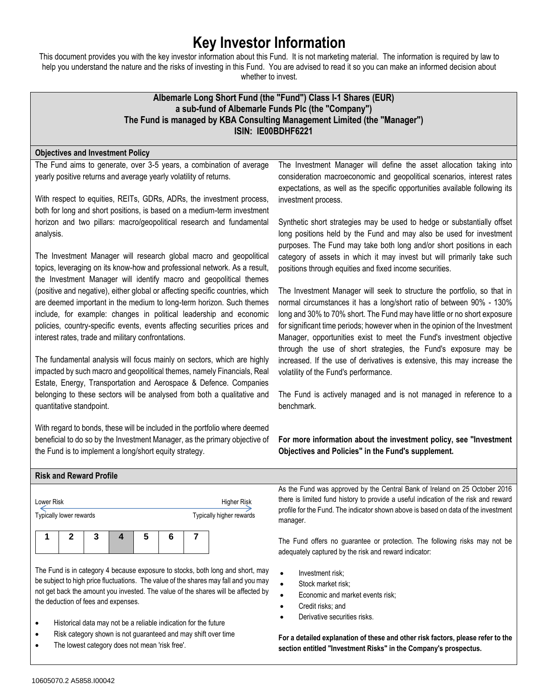# **Key Investor Information**

This document provides you with the key investor information about this Fund. It is not marketing material. The information is required by law to help you understand the nature and the risks of investing in this Fund. You are advised to read it so you can make an informed decision about whether to invest.

# **Albemarle Long Short Fund (the "Fund") Class I-1 Shares (EUR) a sub-fund of Albemarle Funds Plc (the "Company") The Fund is managed by KBA Consulting Management Limited (the "Manager") ISIN: IE00BDHF6221**

## **Objectives and Investment Policy**

The Fund aims to generate, over 3-5 years, a combination of average yearly positive returns and average yearly volatility of returns.

With respect to equities, REITs, GDRs, ADRs, the investment process, both for long and short positions, is based on a medium-term investment horizon and two pillars: macro/geopolitical research and fundamental analysis.

The Investment Manager will research global macro and geopolitical topics, leveraging on its know-how and professional network. As a result, the Investment Manager will identify macro and geopolitical themes (positive and negative), either global or affecting specific countries, which are deemed important in the medium to long-term horizon. Such themes include, for example: changes in political leadership and economic policies, country-specific events, events affecting securities prices and interest rates, trade and military confrontations.

The fundamental analysis will focus mainly on sectors, which are highly impacted by such macro and geopolitical themes, namely Financials, Real Estate, Energy, Transportation and Aerospace & Defence. Companies belonging to these sectors will be analysed from both a qualitative and quantitative standpoint.

With regard to bonds, these will be included in the portfolio where deemed beneficial to do so by the Investment Manager, as the primary objective of the Fund is to implement a long/short equity strategy.

The Investment Manager will define the asset allocation taking into consideration macroeconomic and geopolitical scenarios, interest rates expectations, as well as the specific opportunities available following its investment process.

Synthetic short strategies may be used to hedge or substantially offset long positions held by the Fund and may also be used for investment purposes. The Fund may take both long and/or short positions in each category of assets in which it may invest but will primarily take such positions through equities and fixed income securities.

The Investment Manager will seek to structure the portfolio, so that in normal circumstances it has a long/short ratio of between 90% - 130% long and 30% to 70% short. The Fund may have little or no short exposure for significant time periods; however when in the opinion of the Investment Manager, opportunities exist to meet the Fund's investment objective through the use of short strategies, the Fund's exposure may be increased. If the use of derivatives is extensive, this may increase the volatility of the Fund's performance.

The Fund is actively managed and is not managed in reference to a benchmark.

**For more information about the investment policy, see "Investment Objectives and Policies" in the Fund's supplement.**

| <b>Risk and Reward Profile</b> |                          |                                                                                     |
|--------------------------------|--------------------------|-------------------------------------------------------------------------------------|
|                                |                          | As the Fund was approved by the Central Bank of Ireland on 25 October 2016          |
| Lower Risk                     | <b>Higher Risk</b>       | there is limited fund history to provide a useful indication of the risk and reward |
| Typically lower rewards        | Typically higher rewards | profile for the Fund. The indicator shown above is based on data of the investment  |
|                                |                          | manager.                                                                            |

The Fund offers no guarantee or protection. The following risks may not be adequately captured by the risk and reward indicator:

- Investment risk;
- Stock market risk:
- Economic and market events risk;
- Credit risks; and
- Derivative securities risks.
- **For a detailed explanation of these and other risk factors, please refer to the section entitled "Investment Risks" in the Company's prospectus.**

#### be subject to high price fluctuations. The value of the shares may fall and you may not get back the amount you invested. The value of the shares will be affected by the deduction of fees and expenses.

The Fund is in category 4 because exposure to stocks, both long and short, may

• Historical data may not be a reliable indication for the future

**1 2 3 4 5 6 7**

- Risk category shown is not guaranteed and may shift over time
- The lowest category does not mean 'risk free'.